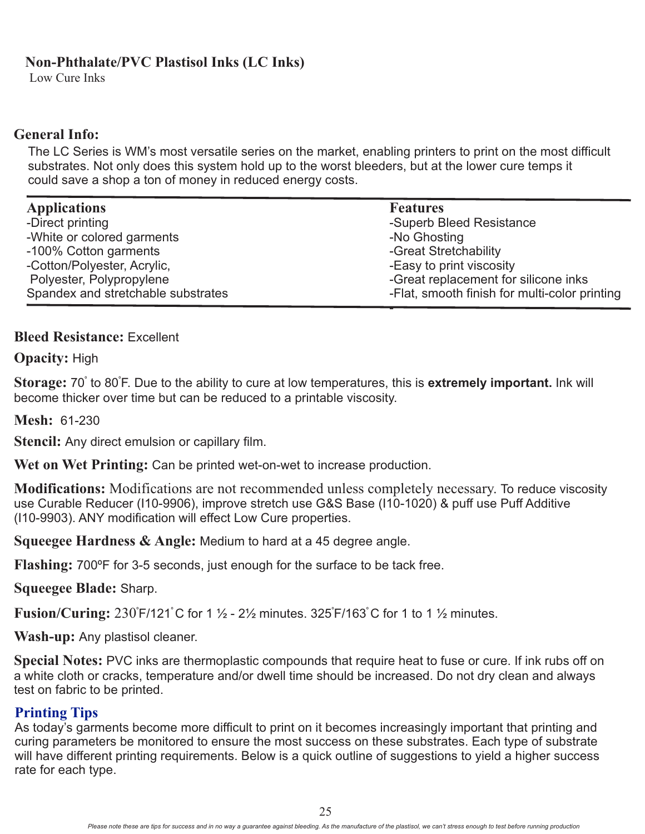# **Non-Phthalate/PVC Plastisol Inks (LC Inks)**

Low Cure Inks

# **General Info:**

The LC Series is WM's most versatile series on the market, enabling printers to print on the most difficult substrates. Not only does this system hold up to the worst bleeders, but at the lower cure temps it could save a shop a ton of money in reduced energy costs.

| <b>Applications</b>                | <b>Features</b>                               |
|------------------------------------|-----------------------------------------------|
| -Direct printing                   | -Superb Bleed Resistance                      |
| -White or colored garments         | -No Ghosting                                  |
| -100% Cotton garments              | -Great Stretchability                         |
| -Cotton/Polyester, Acrylic,        | -Easy to print viscosity                      |
| Polyester, Polypropylene           | -Great replacement for silicone inks          |
| Spandex and stretchable substrates | -Flat, smooth finish for multi-color printing |

## **Bleed Resistance:** Excellent

**Opacity:** High

 $\bf Storage: 70\degree$  to 80 $\bf \bar{F}$ . Due to the ability to cure at low temperatures, this is **extremely important.** Ink will become thicker over time but can be reduced to a printable viscosity.

**Mesh:** 61-230

**Stencil:** Any direct emulsion or capillary film.

**Wet on Wet Printing:** Can be printed wet-on-wet to increase production.

**Modifications:** Modifications are not recommended unless completely necessary. To reduce viscosity use Curable Reducer (I10-9906), improve stretch use G&S Base (I10-1020) & puff use Puff Additive (I10-9903). ANY modification will effect Low Cure properties.

**Squeegee Hardness & Angle:** Medium to hard at a 45 degree angle.

**Flashing:** 700ºF for 3-5 seconds, just enough for the surface to be tack free.

**Squeegee Blade:** Sharp.

**Fusion/Curing:** 230°F/121°C for 1 1/2 - 21/2 minutes. 325°F/163°C for 1 to 1 1/2 minutes.

**Wash-up:** Any plastisol cleaner.

Special Notes: PVC inks are thermoplastic compounds that require heat to fuse or cure. If ink rubs off on a white cloth or cracks, temperature and/or dwell time should be increased. Do not dry clean and always test on fabric to be printed.

# **Printing Tips**

As today's garments become more difficult to print on it becomes increasingly important that printing and curing parameters be monitored to ensure the most success on these substrates. Each type of substrate will have different printing requirements. Below is a quick outline of suggestions to yield a higher success rate for each type.